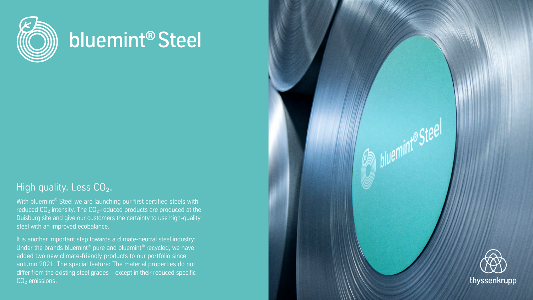

## bluemint® Steel

## High quality. Less CO<sub>2</sub>.

With bluemint® Steel we are launching our first certified steels with reduced  $CO<sub>2</sub>$  intensity. The  $CO<sub>2</sub>$ -reduced products are produced at the Duisburg site and give our customers the certainty to use high-quality steel with an improved ecobalance.

It is another important step towards a climate-neutral steel industry: Under the brands bluemint® pure and bluemint® recycled, we have added two new climate-friendly products to our portfolio since autumn 2021. The special feature: The material properties do not differ from the existing steel grades – except in their reduced specific  $CO<sub>2</sub>$  emissions.



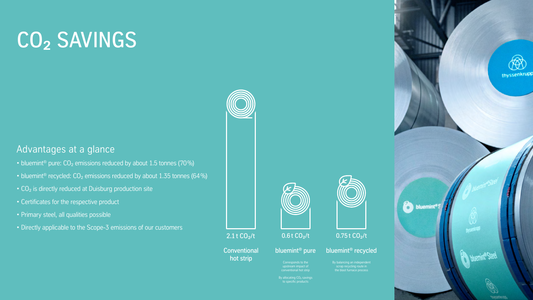# CO2 SAVINGS

By allocating  $CO<sub>2</sub>$  savings to specific products



### 2.1 t  $CO_2/t$  0.6 t  $CO_2/t$  0.75 t  $CO_2/t$

### Conventional bluemint<sup>®</sup> pure bluemint<sup>®</sup> recycled

Corresponds to the upstream impact of conventional hot strip

By balancing an independent scrap recycling route in the blast furnace process





hot strip





- bluemint<sup>®</sup> pure:  $CO<sub>2</sub>$  emissions reduced by about 1.5 tonnes (70%)
- bluemint<sup>®</sup> recycled:  $CO<sub>2</sub>$  emissions reduced by about 1.35 tonnes (64%)
- CO<sub>2</sub> is directly reduced at Duisburg production site
- Certificates for the respective product
- Primary steel, all qualities possible
- Directly applicable to the Scope-3 emissions of our customers